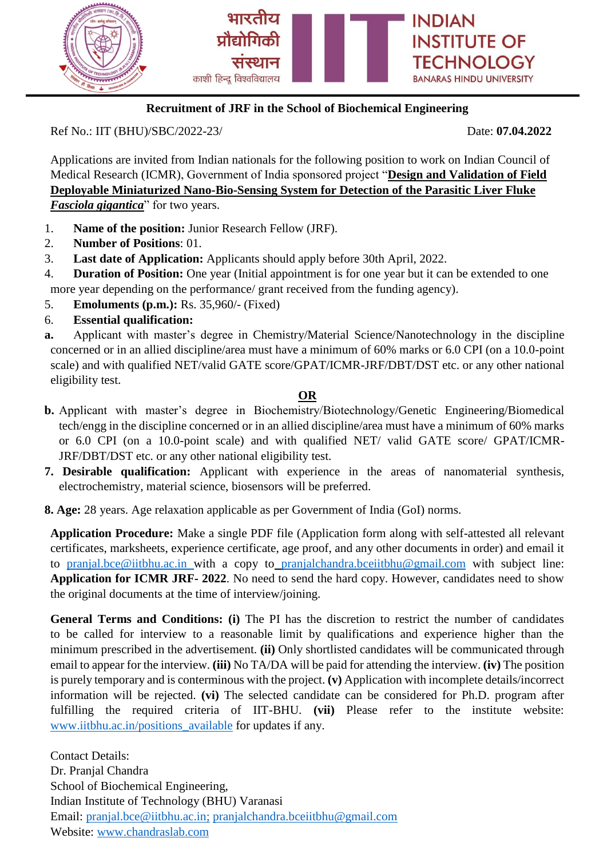

# **Recruitment of JRF in the School of Biochemical Engineering**

Ref No.: IIT (BHU)/SBC/2022-23/ Date: **07.04.2022**

Applications are invited from Indian nationals for the following position to work on Indian Council of Medical Research (ICMR), Government of India sponsored project "**Design and Validation of Field Deployable Miniaturized Nano-Bio-Sensing System for Detection of the Parasitic Liver Fluke**  *Fasciola gigantica*" for two years.

- 1. **Name of the position:** Junior Research Fellow (JRF).
- 2. **Number of Positions**: 01.
- 3. **Last date of Application:** Applicants should apply before 30th April, 2022.
- 4. **Duration of Position:** One year (Initial appointment is for one year but it can be extended to one more year depending on the performance/ grant received from the funding agency).
- 5. **Emoluments (p.m.):** Rs. 35,960/- (Fixed)
- 6. **Essential qualification:**
- **a.** Applicant with master's degree in Chemistry/Material Science/Nanotechnology in the discipline concerned or in an allied discipline/area must have a minimum of 60% marks or 6.0 CPI (on a 10.0-point scale) and with qualified NET/valid GATE score/GPAT/ICMR-JRF/DBT/DST etc. or any other national eligibility test.

## **OR**

- **b.** Applicant with master's degree in Biochemistry/Biotechnology/Genetic Engineering/Biomedical tech/engg in the discipline concerned or in an allied discipline/area must have a minimum of 60% marks or 6.0 CPI (on a 10.0-point scale) and with qualified NET/ valid GATE score/ GPAT/ICMR-JRF/DBT/DST etc. or any other national eligibility test.
- **7. Desirable qualification:** Applicant with experience in the areas of nanomaterial synthesis, electrochemistry, material science, biosensors will be preferred.

**8. Age:** 28 years. Age relaxation applicable as per Government of India (GoI) norms.

**Application Procedure:** Make a single PDF file (Application form along with self-attested all relevant certificates, marksheets, experience certificate, age proof, and any other documents in order) and email it to [pranjal.bce@iitbhu.ac.in](mailto:pranjal.bce@iitbhu.ac.in) with a copy to [pranjalchandra.bceiitbhu@gmail.com](mailto:pranjalchandra.bceiitbhu@gmail.com) with subject line: **Application for ICMR JRF- 2022**. No need to send the hard copy. However, candidates need to show the original documents at the time of interview/joining.

General Terms and Conditions: (i) The PI has the discretion to restrict the number of candidates to be called for interview to a reasonable limit by qualifications and experience higher than the minimum prescribed in the advertisement. **(ii)** Only shortlisted candidates will be communicated through email to appear for the interview. **(iii)** No TA/DA will be paid for attending the interview. **(iv)** The position is purely temporary and is conterminous with the project. **(v)** Application with incomplete details/incorrect information will be rejected. **(vi)** The selected candidate can be considered for Ph.D. program after fulfilling the required criteria of IIT-BHU. **(vii)** Please refer to the institute website: [www.iitbhu.ac.in/positions\\_available](http://www.iitbhu.ac.in/positions_available) for updates if any.

Contact Details: Dr. Pranjal Chandra School of Biochemical Engineering, Indian Institute of Technology (BHU) Varanasi Email: [pranjal.bce@iitbhu.ac.in;](mailto:pranjal.bce@iitbhu.ac.in) [pranjalchandra.bceiitbhu@gmail.com](mailto:pranjalchandra.bceiitbhu@gmail.com) Website: [www.chandraslab.com](http://www.chandraslab.com/)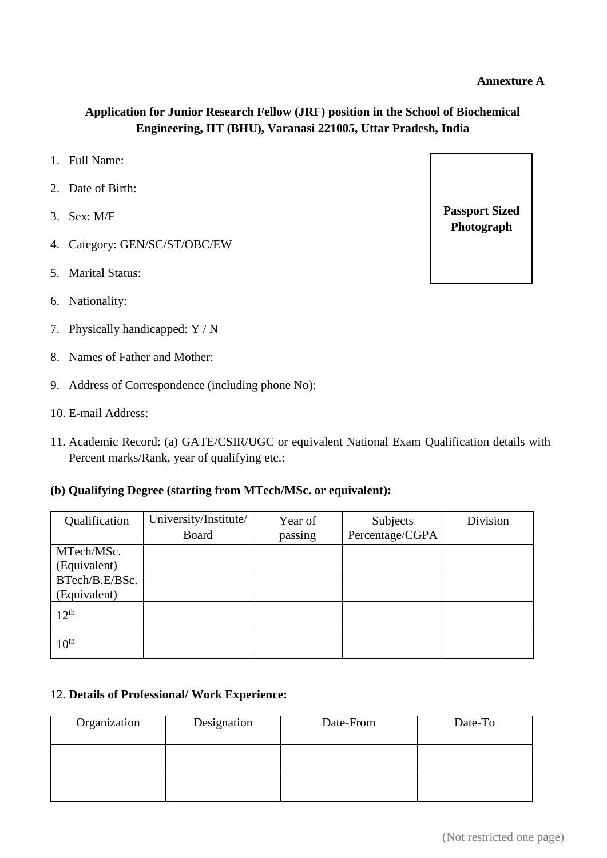## **Application for Junior Research Fellow (JRF) position in the School of Biochemical Engineering, IIT (BHU), Varanasi 221005, Uttar Pradesh, India**

- 1. Full Name:
- 2. Date of Birth:
- 3. Sex: M/F
- 4. Category: GEN/SC/ST/OBC/EW
- 5. Marital Status:
- 6. Nationality:
- 7. Physically handicapped: Y / N
- 8. Names of Father and Mother:
- 9. Address of Correspondence (including phone No):
- 10. E-mail Address:
- 11. Academic Record: (a) GATE/CSIR/UGC or equivalent National Exam Qualification details with Percent marks/Rank, year of qualifying etc.:

#### **(b) Qualifying Degree (starting from MTech/MSc. or equivalent):**

| Qualification    | University/Institute/ | Year of | Subjects        | Division |
|------------------|-----------------------|---------|-----------------|----------|
|                  | <b>Board</b>          | passing | Percentage/CGPA |          |
| MTech/MSc.       |                       |         |                 |          |
| (Equivalent)     |                       |         |                 |          |
| BTech/B.E/BSc.   |                       |         |                 |          |
| (Equivalent)     |                       |         |                 |          |
| $12^{th}$        |                       |         |                 |          |
| 10 <sup>th</sup> |                       |         |                 |          |

#### 12. **Details of Professional/ Work Experience:**

| Organization | Designation | Date-From | Date-To |
|--------------|-------------|-----------|---------|
|              |             |           |         |
|              |             |           |         |
|              |             |           |         |
|              |             |           |         |

**Passport Sized Photograph**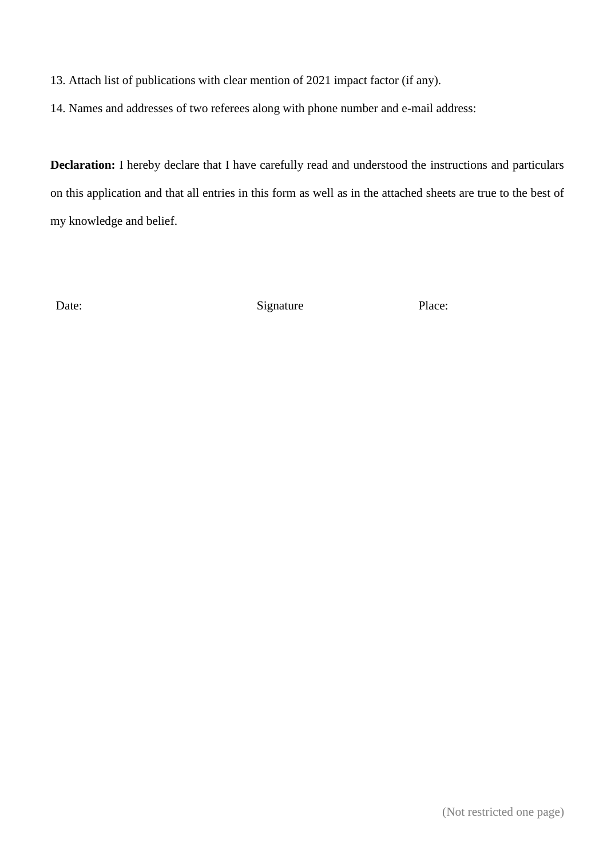13. Attach list of publications with clear mention of 2021 impact factor (if any).

14. Names and addresses of two referees along with phone number and e-mail address:

**Declaration:** I hereby declare that I have carefully read and understood the instructions and particulars on this application and that all entries in this form as well as in the attached sheets are true to the best of my knowledge and belief.

Date: Signature Place: